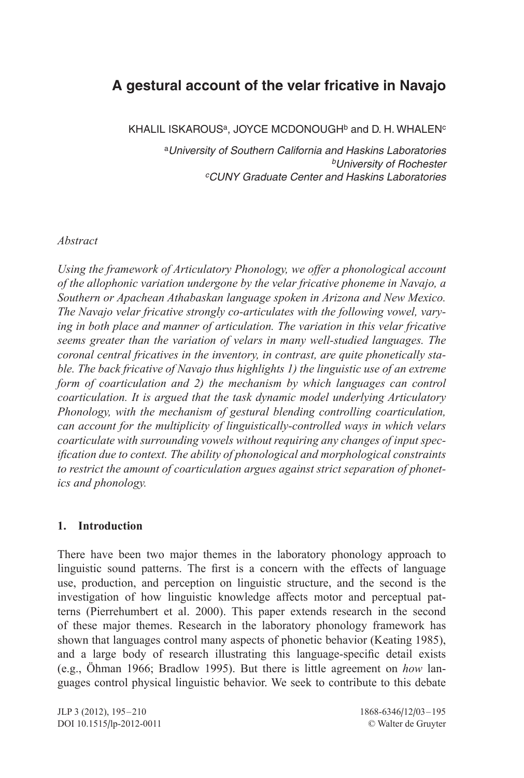# **A gestural account of the velar fricative in Navajo**

KHALIL ISKAROUS<sup>a</sup>, JOYCE MCDONOUGH<sup>b</sup> and D. H. WHALEN<sup>c</sup>

<sup>a</sup>*University of Southern California and Haskins Laboratories bUniversity of Rochester cCUNY Graduate Center and Haskins Laboratories*

### *Abstract*

*Using the framework of Articulatory Phonology, we offer a phonological account of the allophonic variation undergone by the velar fricative phoneme in Navajo, a Southern or Apachean Athabaskan language spoken in Arizona and New Mexico. The Navajo velar fricative strongly co-articulates with the following vowel, varying in both place and manner of articulation. The variation in this velar fricative seems greater than the variation of velars in many well-studied languages. The coronal central fricatives in the inventory, in contrast, are quite phonetically stable. The back fricative of Navajo thus highlights 1) the linguistic use of an extreme form of coarticulation and 2) the mechanism by which languages can control coarticulation. It is argued that the task dynamic model underlying Articulatory Phonology, with the mechanism of gestural blending controlling coarticulation, can account for the multiplicity of linguistically-controlled ways in which velars coarticulate with surrounding vowels without requiring any changes of input specification due to context. The ability of phonological and morphological constraints to restrict the amount of coarticulation argues against strict separation of phonetics and phonology.*

# **1. Introduction**

There have been two major themes in the laboratory phonology approach to linguistic sound patterns. The first is a concern with the effects of language use, production, and perception on linguistic structure, and the second is the investigation of how linguistic knowledge affects motor and perceptual patterns (Pierrehumbert et al. 2000). This paper extends research in the second of these major themes. Research in the laboratory phonology framework has shown that languages control many aspects of phonetic behavior (Keating 1985), and a large body of research illustrating this language-specific detail exists (e.g., Öhman 1966; Bradlow 1995). But there is little agreement on *how* languages control physical linguistic behavior. We seek to contribute to this debate

JLP 3 (2012), 195–210 1868-6346/12/03–195 DOI 10.1515/lp-2012-0011 © Walter de Gruyter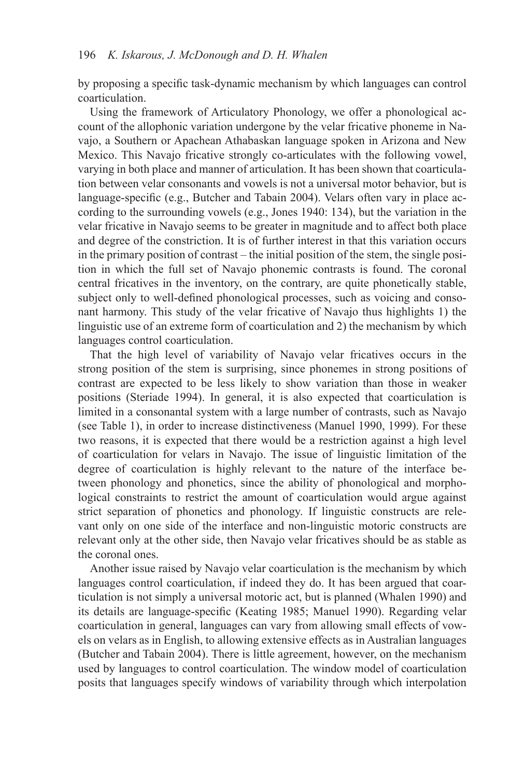by proposing a specific task-dynamic mechanism by which languages can control coarticulation.

Using the framework of Articulatory Phonology, we offer a phonological account of the allophonic variation undergone by the velar fricative phoneme in Navajo, a Southern or Apachean Athabaskan language spoken in Arizona and New Mexico. This Navajo fricative strongly co-articulates with the following vowel, varying in both place and manner of articulation. It has been shown that coarticulation between velar consonants and vowels is not a universal motor behavior, but is language-specific (e.g., Butcher and Tabain 2004). Velars often vary in place according to the surrounding vowels (e.g., Jones 1940: 134), but the variation in the velar fricative in Navajo seems to be greater in magnitude and to affect both place and degree of the constriction. It is of further interest in that this variation occurs in the primary position of contrast – the initial position of the stem, the single position in which the full set of Navajo phonemic contrasts is found. The coronal central fricatives in the inventory, on the contrary, are quite phonetically stable, subject only to well-defined phonological processes, such as voicing and consonant harmony. This study of the velar fricative of Navajo thus highlights 1) the linguistic use of an extreme form of coarticulation and 2) the mechanism by which languages control coarticulation.

That the high level of variability of Navajo velar fricatives occurs in the strong position of the stem is surprising, since phonemes in strong positions of contrast are expected to be less likely to show variation than those in weaker positions (Steriade 1994). In general, it is also expected that coarticulation is limited in a consonantal system with a large number of contrasts, such as Navajo (see Table 1), in order to increase distinctiveness (Manuel 1990, 1999). For these two reasons, it is expected that there would be a restriction against a high level of coarticulation for velars in Navajo. The issue of linguistic limitation of the degree of coarticulation is highly relevant to the nature of the interface between phonology and phonetics, since the ability of phonological and morphological constraints to restrict the amount of coarticulation would argue against strict separation of phonetics and phonology. If linguistic constructs are relevant only on one side of the interface and non-linguistic motoric constructs are relevant only at the other side, then Navajo velar fricatives should be as stable as the coronal ones.

Another issue raised by Navajo velar coarticulation is the mechanism by which languages control coarticulation, if indeed they do. It has been argued that coarticulation is not simply a universal motoric act, but is planned (Whalen 1990) and its details are language-specific (Keating 1985; Manuel 1990). Regarding velar coarticulation in general, languages can vary from allowing small effects of vowels on velars as in English, to allowing extensive effects as in Australian languages (Butcher and Tabain 2004). There is little agreement, however, on the mechanism used by languages to control coarticulation. The window model of coarticulation posits that languages specify windows of variability through which interpolation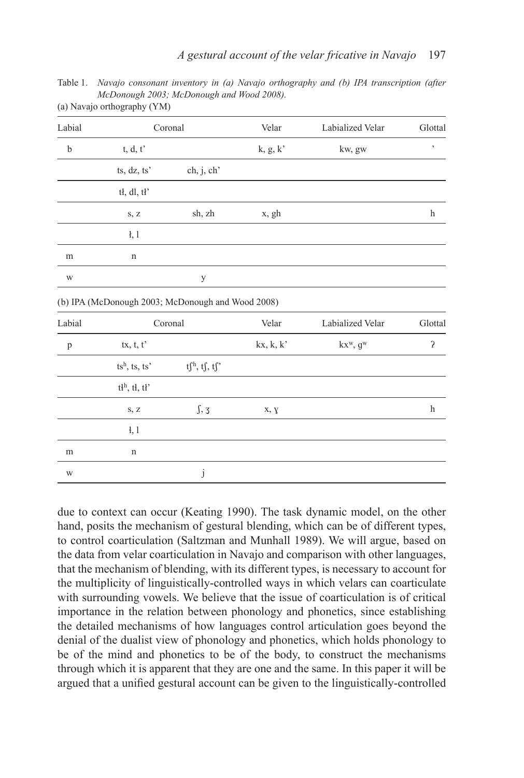Table 1. *Navajo consonant inventory in (a) Navajo orthography and (b) IPA transcription (after McDonough 2003; McDonough and Wood 2008).* (a) Navajo orthography (YM)

| Labial       |                          | Coronal                                           | Velar                          | Labialized Velar | Glottal      |
|--------------|--------------------------|---------------------------------------------------|--------------------------------|------------------|--------------|
| $\mathbf b$  | $t, d, t'$               |                                                   | ${\bf k},\,{\bf g},\,{\bf k'}$ | kw, gw           | $\,$         |
|              | ts, dz, ts'              | ch, j, ch'                                        |                                |                  |              |
|              | tł, dl, tł'              |                                                   |                                |                  |              |
|              | S, Z                     | sh, zh                                            | x, gh                          |                  | h            |
|              | $\frac{1}{2}$ , 1        |                                                   |                                |                  |              |
| m            | $\mathbf n$              |                                                   |                                |                  |              |
| W            |                          | у                                                 |                                |                  |              |
|              |                          | (b) IPA (McDonough 2003; McDonough and Wood 2008) |                                |                  |              |
| Labial       |                          | Coronal                                           | Velar                          | Labialized Velar | Glottal      |
| $\mathbf{p}$ | tx, t, t'                |                                                   | kx, k, k'                      | $kx^w, g^w$      | $\mathbf{S}$ |
|              | $ts^h$ , ts, ts'         | $tf^h, tf, tf'$                                   |                                |                  |              |
|              | t <sup>h</sup> , tł, tł' |                                                   |                                |                  |              |
|              | S, Z                     | $\int$ , 3                                        | x, y                           |                  | h            |
|              | $\frac{1}{2}$            |                                                   |                                |                  |              |
| m            | n                        |                                                   |                                |                  |              |
| W            |                          | j                                                 |                                |                  |              |
|              |                          |                                                   |                                |                  |              |

due to context can occur (Keating 1990). The task dynamic model, on the other hand, posits the mechanism of gestural blending, which can be of different types, to control coarticulation (Saltzman and Munhall 1989). We will argue, based on the data from velar coarticulation in Navajo and comparison with other languages, that the mechanism of blending, with its different types, is necessary to account for the multiplicity of linguistically-controlled ways in which velars can coarticulate with surrounding vowels. We believe that the issue of coarticulation is of critical importance in the relation between phonology and phonetics, since establishing the detailed mechanisms of how languages control articulation goes beyond the denial of the dualist view of phonology and phonetics, which holds phonology to be of the mind and phonetics to be of the body, to construct the mechanisms through which it is apparent that they are one and the same. In this paper it will be argued that a unified gestural account can be given to the linguistically-controlled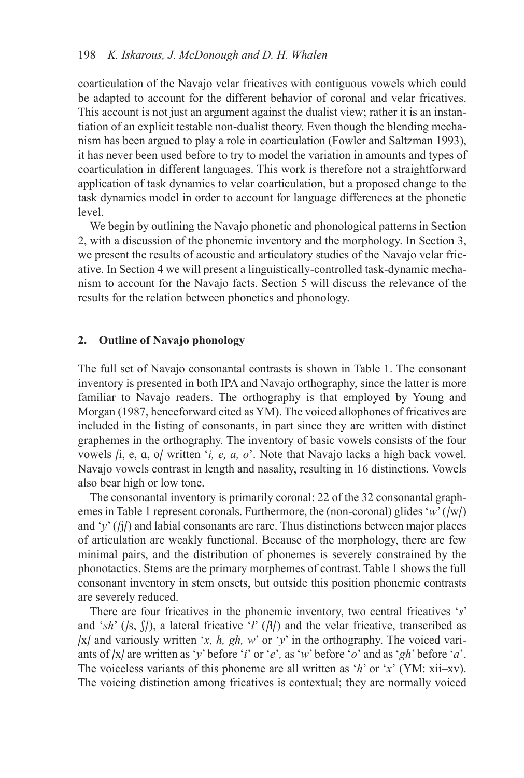coarticulation of the Navajo velar fricatives with contiguous vowels which could be adapted to account for the different behavior of coronal and velar fricatives. This account is not just an argument against the dualist view; rather it is an instantiation of an explicit testable non-dualist theory. Even though the blending mechanism has been argued to play a role in coarticulation (Fowler and Saltzman 1993), it has never been used before to try to model the variation in amounts and types of coarticulation in different languages. This work is therefore not a straightforward application of task dynamics to velar coarticulation, but a proposed change to the task dynamics model in order to account for language differences at the phonetic level.

We begin by outlining the Navajo phonetic and phonological patterns in Section 2, with a discussion of the phonemic inventory and the morphology. In Section 3, we present the results of acoustic and articulatory studies of the Navajo velar fricative. In Section 4 we will present a linguistically-controlled task-dynamic mechanism to account for the Navajo facts. Section 5 will discuss the relevance of the results for the relation between phonetics and phonology.

#### **2. Outline of Navajo phonology**

The full set of Navajo consonantal contrasts is shown in Table 1. The consonant inventory is presented in both IPA and Navajo orthography, since the latter is more familiar to Navajo readers. The orthography is that employed by Young and Morgan (1987, henceforward cited as YM). The voiced allophones of fricatives are included in the listing of consonants, in part since they are written with distinct graphemes in the orthography. The inventory of basic vowels consists of the four vowels /i, e, ɑ, o/ written '*i, e, a, o*'. Note that Navajo lacks a high back vowel. Navajo vowels contrast in length and nasality, resulting in 16 distinctions. Vowels also bear high or low tone.

The consonantal inventory is primarily coronal: 22 of the 32 consonantal graphemes in Table 1 represent coronals. Furthermore, the (non-coronal) glides '*w*' (/w/) and ' $v'$  ( $(i)$ ) and labial consonants are rare. Thus distinctions between major places of articulation are weakly functional. Because of the morphology, there are few minimal pairs, and the distribution of phonemes is severely constrained by the phonotactics. Stems are the primary morphemes of contrast. Table 1 shows the full consonant inventory in stem onsets, but outside this position phonemic contrasts are severely reduced.

There are four fricatives in the phonemic inventory, two central fricatives '*s*' and ' $sh'$  (/s,  $\int$ /), a lateral fricative '*l'* (/ɬ/) and the velar fricative, transcribed as /x/ and variously written '*x, h, gh, w*' or '*y*' in the orthography. The voiced variants of /x/ are written as '*y*' before '*i*' or '*e*'*,* as '*w*' before '*o*' and as '*gh*' before '*a*'. The voiceless variants of this phoneme are all written as '*h*' or '*x*' (YM: xii–xv). The voicing distinction among fricatives is contextual; they are normally voiced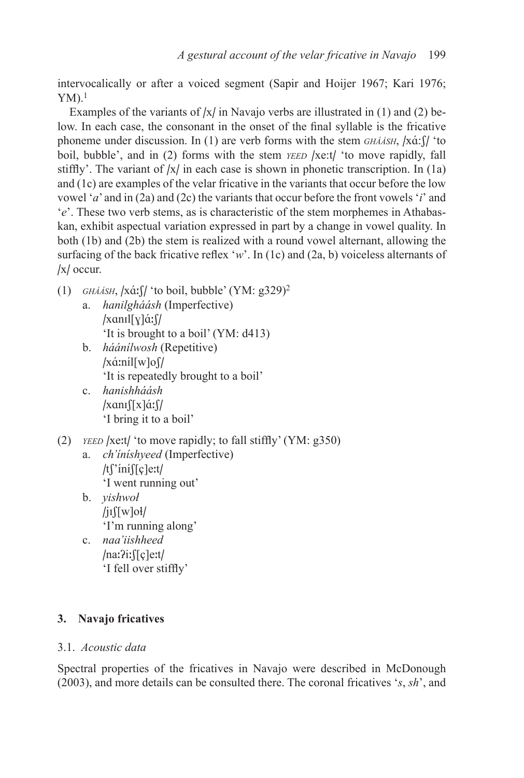intervocalically or after a voiced segment (Sapir and Hoijer 1967; Kari 1976;  $YM$ ).<sup>1</sup>

Examples of the variants of  $|x|$  in Navajo verbs are illustrated in (1) and (2) below. In each case, the consonant in the onset of the final syllable is the fricative phoneme under discussion. In (1) are verb forms with the stem *GHAASH*, /xá: f/ 'to boil, bubble', and in (2) forms with the stem *yEED* /xe:t/ 'to move rapidly, fall stiffly'. The variant of  $|x|$  in each case is shown in phonetic transcription. In (1a) and (1c) are examples of the velar fricative in the variants that occur before the low vowel '*a*' and in (2a) and (2c) the variants that occur before the front vowels '*i*' and '*e*'. These two verb stems, as is characteristic of the stem morphemes in Athabaskan, exhibit aspectual variation expressed in part by a change in vowel quality. In both (1b) and (2b) the stem is realized with a round vowel alternant, allowing the surfacing of the back fricative reflex '*w*'. In (1c) and (2a, b) voiceless alternants of /x/ occur.

- (1) *gháásh*, /xɑ́ / 'to boil, bubble' (YM: g329)2 a. *hanilgháásh* (Imperfective) /xαnıl[ɣ]ά:∫/
	- 'It is brought to a boil' (YM: d413)
	- b. *háánílwosh* (Repetitive) /xά:níl[w]o∫/ 'It is repeatedly brought to a boil'
	- c. *hanishháásh* /xαnı∫[x]ά:∫/ 'I bring it to a boil'
- (2) *yeed* /xet/ 'to move rapidly; to fall stiffly' (YM: g350)
	- a. *ch'íníshyeed* (Imperfective) /t∫'íní∫[ç]e:t/ 'I went running out'
	- b. *yishwoł*  $\int$ is  $\int$ [w]oł $\int$ 'I'm running along'
	- c. *naa'iishheed* /na:?i:ffcle:t/ 'I fell over stiffly'

# **3. Navajo fricatives**

# 3.1. *Acoustic data*

Spectral properties of the fricatives in Navajo were described in McDonough (2003), and more details can be consulted there. The coronal fricatives '*s*, *sh*', and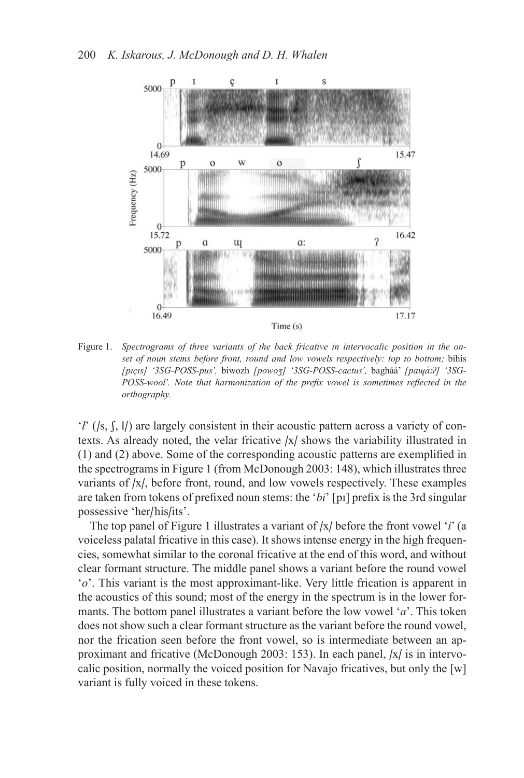

Figure 1. *Spectrograms of three variants of the back fricative in intervocalic position in the onset of noun stems before front, round and low vowels respectively: top to bottom;* bihis *[pɪçɪs] '3SG-POSS-pus',* biwozh *[powoʒ] '3SG-POSS-cactus',* bagháá' *[pɑɰɑ́ʔ] '3SG-POSS-wool'. Note that harmonization of the prefix vowel is sometimes reflected in the orthography.*

'*ł'* ( $/s$ ,  $\binom{1}{s}$ ) are largely consistent in their acoustic pattern across a variety of contexts. As already noted, the velar fricative /x/ shows the variability illustrated in (1) and (2) above. Some of the corresponding acoustic patterns are exemplified in the spectrograms in Figure 1 (from McDonough 2003: 148), which illustrates three variants of /x/, before front, round, and low vowels respectively. These examples are taken from tokens of prefixed noun stems: the '*bi*' [pɪ] prefix is the 3rd singular possessive 'her/his/its'.

The top panel of Figure 1 illustrates a variant of /x/ before the front vowel '*i*' (a voiceless palatal fricative in this case). It shows intense energy in the high frequencies, somewhat similar to the coronal fricative at the end of this word, and without clear formant structure. The middle panel shows a variant before the round vowel '*o*'. This variant is the most approximant-like. Very little frication is apparent in the acoustics of this sound; most of the energy in the spectrum is in the lower formants. The bottom panel illustrates a variant before the low vowel '*a*'. This token does not show such a clear formant structure as the variant before the round vowel, nor the frication seen before the front vowel, so is intermediate between an approximant and fricative (McDonough 2003: 153). In each panel, /x/ is in intervocalic position, normally the voiced position for Navajo fricatives, but only the [w] variant is fully voiced in these tokens.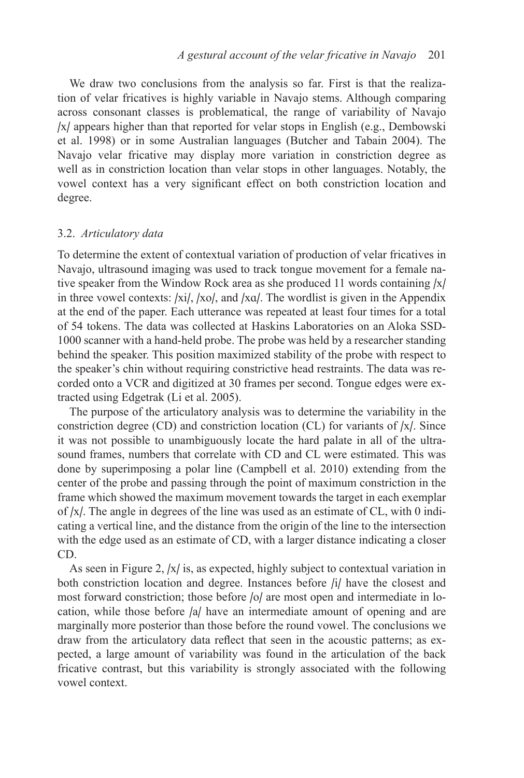We draw two conclusions from the analysis so far. First is that the realization of velar fricatives is highly variable in Navajo stems. Although comparing across consonant classes is problematical, the range of variability of Navajo /x/ appears higher than that reported for velar stops in English (e.g., Dembowski et al. 1998) or in some Australian languages (Butcher and Tabain 2004). The Navajo velar fricative may display more variation in constriction degree as well as in constriction location than velar stops in other languages. Notably, the vowel context has a very significant effect on both constriction location and degree.

#### 3.2. *Articulatory data*

To determine the extent of contextual variation of production of velar fricatives in Navajo, ultrasound imaging was used to track tongue movement for a female native speaker from the Window Rock area as she produced 11 words containing /x/ in three vowel contexts:  $\vert x_i \vert$ ,  $\vert x_0 \vert$ , and  $\vert x_0 \vert$ . The wordlist is given in the Appendix at the end of the paper. Each utterance was repeated at least four times for a total of 54 tokens. The data was collected at Haskins Laboratories on an Aloka SSD-1000 scanner with a hand-held probe. The probe was held by a researcher standing behind the speaker. This position maximized stability of the probe with respect to the speaker's chin without requiring constrictive head restraints. The data was recorded onto a VCR and digitized at 30 frames per second. Tongue edges were extracted using Edgetrak (Li et al. 2005).

The purpose of the articulatory analysis was to determine the variability in the constriction degree (CD) and constriction location (CL) for variants of  $|x|$ . Since it was not possible to unambiguously locate the hard palate in all of the ultrasound frames, numbers that correlate with CD and CL were estimated. This was done by superimposing a polar line (Campbell et al. 2010) extending from the center of the probe and passing through the point of maximum constriction in the frame which showed the maximum movement towards the target in each exemplar of /x/. The angle in degrees of the line was used as an estimate of CL, with 0 indicating a vertical line, and the distance from the origin of the line to the intersection with the edge used as an estimate of CD, with a larger distance indicating a closer CD.

As seen in Figure 2, /x/ is, as expected, highly subject to contextual variation in both constriction location and degree. Instances before /i/ have the closest and most forward constriction; those before /o/ are most open and intermediate in location, while those before /a/ have an intermediate amount of opening and are marginally more posterior than those before the round vowel. The conclusions we draw from the articulatory data reflect that seen in the acoustic patterns; as expected, a large amount of variability was found in the articulation of the back fricative contrast, but this variability is strongly associated with the following vowel context.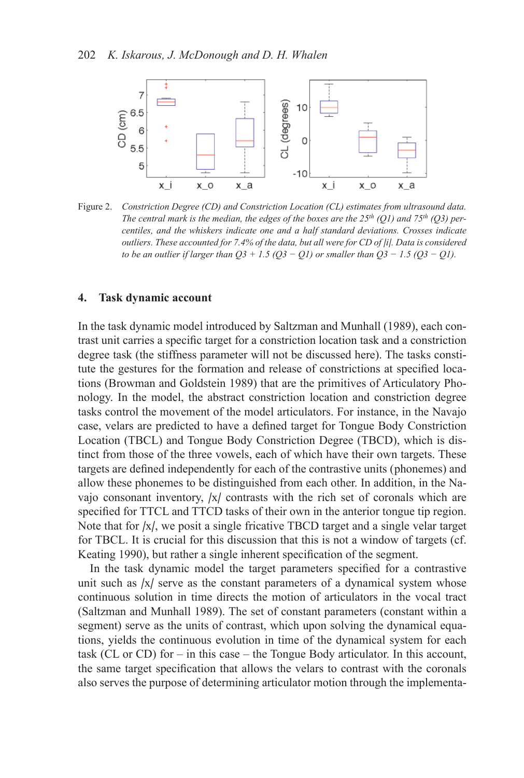

Figure 2. *Constriction Degree (CD) and Constriction Location (CL) estimates from ultrasound data. The central mark is the median, the edges of the boxes are the 25th (Q1) and 75th (Q3) percentiles, and the whiskers indicate one and a half standard deviations. Crosses indicate outliers. These accounted for 7.4% of the data, but all were for CD of |i|. Data is considered to be an outlier if larger than Q3 + 1.5 (Q3 − Q1) or smaller than Q3 − 1.5 (Q3 − Q1).*

#### **4. Task dynamic account**

In the task dynamic model introduced by Saltzman and Munhall (1989), each contrast unit carries a specific target for a constriction location task and a constriction degree task (the stiffness parameter will not be discussed here). The tasks constitute the gestures for the formation and release of constrictions at specified locations (Browman and Goldstein 1989) that are the primitives of Articulatory Phonology. In the model, the abstract constriction location and constriction degree tasks control the movement of the model articulators. For instance, in the Navajo case, velars are predicted to have a defined target for Tongue Body Constriction Location (TBCL) and Tongue Body Constriction Degree (TBCD), which is distinct from those of the three vowels, each of which have their own targets. These targets are defined independently for each of the contrastive units (phonemes) and allow these phonemes to be distinguished from each other. In addition, in the Navajo consonant inventory, /x/ contrasts with the rich set of coronals which are specified for TTCL and TTCD tasks of their own in the anterior tongue tip region. Note that for /x/, we posit a single fricative TBCD target and a single velar target for TBCL. It is crucial for this discussion that this is not a window of targets (cf. Keating 1990), but rather a single inherent specification of the segment.

In the task dynamic model the target parameters specified for a contrastive unit such as  $|x|$  serve as the constant parameters of a dynamical system whose continuous solution in time directs the motion of articulators in the vocal tract (Saltzman and Munhall 1989). The set of constant parameters (constant within a segment) serve as the units of contrast, which upon solving the dynamical equations, yields the continuous evolution in time of the dynamical system for each task (CL or CD) for – in this case – the Tongue Body articulator. In this account, the same target specification that allows the velars to contrast with the coronals also serves the purpose of determining articulator motion through the implementa-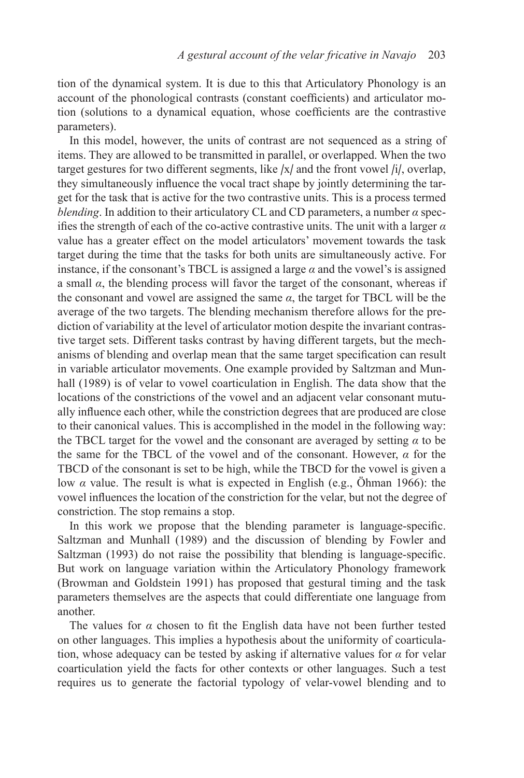tion of the dynamical system. It is due to this that Articulatory Phonology is an account of the phonological contrasts (constant coefficients) and articulator motion (solutions to a dynamical equation, whose coefficients are the contrastive parameters).

In this model, however, the units of contrast are not sequenced as a string of items. They are allowed to be transmitted in parallel, or overlapped. When the two target gestures for two different segments, like  $|x|$  and the front vowel  $|i|$ , overlap, they simultaneously influence the vocal tract shape by jointly determining the target for the task that is active for the two contrastive units. This is a process termed *blending*. In addition to their articulatory CL and CD parameters, a number *α* specifies the strength of each of the co-active contrastive units. The unit with a larger *α*  value has a greater effect on the model articulators' movement towards the task target during the time that the tasks for both units are simultaneously active. For instance, if the consonant's TBCL is assigned a large  $\alpha$  and the vowel's is assigned a small  $\alpha$ , the blending process will favor the target of the consonant, whereas if the consonant and vowel are assigned the same  $\alpha$ , the target for TBCL will be the average of the two targets. The blending mechanism therefore allows for the prediction of variability at the level of articulator motion despite the invariant contrastive target sets. Different tasks contrast by having different targets, but the mechanisms of blending and overlap mean that the same target specification can result in variable articulator movements. One example provided by Saltzman and Munhall (1989) is of velar to vowel coarticulation in English. The data show that the locations of the constrictions of the vowel and an adjacent velar consonant mutually influence each other, while the constriction degrees that are produced are close to their canonical values. This is accomplished in the model in the following way: the TBCL target for the vowel and the consonant are averaged by setting  $\alpha$  to be the same for the TBCL of the vowel and of the consonant. However, *α* for the TBCD of the consonant is set to be high, while the TBCD for the vowel is given a low *α* value. The result is what is expected in English (e.g., Öhman 1966): the vowel influences the location of the constriction for the velar, but not the degree of constriction. The stop remains a stop.

In this work we propose that the blending parameter is language-specific. Saltzman and Munhall (1989) and the discussion of blending by Fowler and Saltzman (1993) do not raise the possibility that blending is language-specific. But work on language variation within the Articulatory Phonology framework (Browman and Goldstein 1991) has proposed that gestural timing and the task parameters themselves are the aspects that could differentiate one language from another.

The values for  $\alpha$  chosen to fit the English data have not been further tested on other languages. This implies a hypothesis about the uniformity of coarticulation, whose adequacy can be tested by asking if alternative values for *α* for velar coarticulation yield the facts for other contexts or other languages. Such a test requires us to generate the factorial typology of velar-vowel blending and to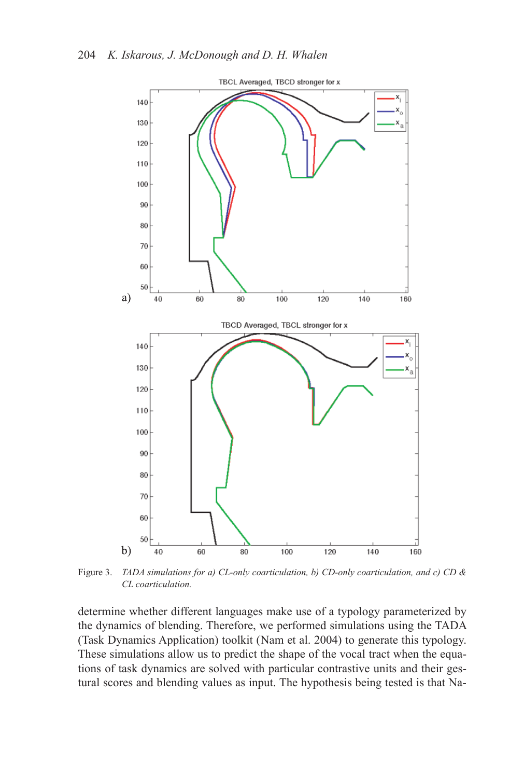

Figure 3. *TADA simulations for a) CL-only coarticulation, b) CD-only coarticulation, and c) CD & CL coarticulation.*

determine whether different languages make use of a typology parameterized by the dynamics of blending. Therefore, we performed simulations using the TADA (Task Dynamics Application) toolkit (Nam et al. 2004) to generate this typology. These simulations allow us to predict the shape of the vocal tract when the equations of task dynamics are solved with particular contrastive units and their gestural scores and blending values as input. The hypothesis being tested is that Na-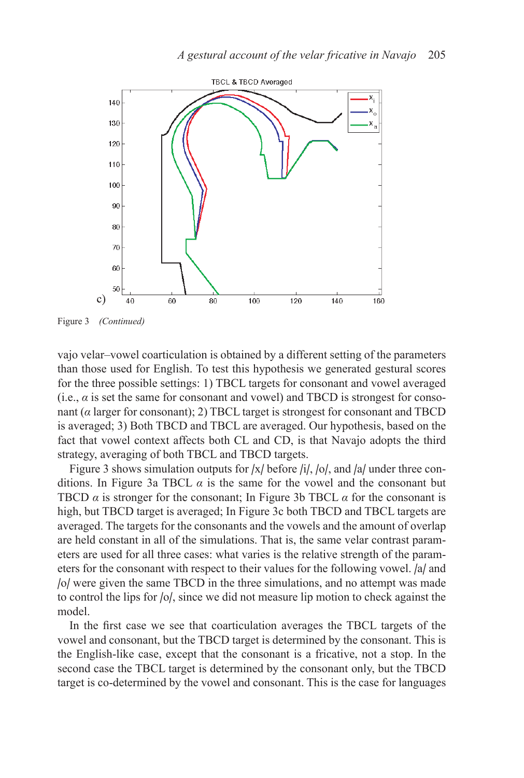

Figure 3 *(Continued)*

vajo velar–vowel coarticulation is obtained by a different setting of the parameters than those used for English. To test this hypothesis we generated gestural scores for the three possible settings: 1) TBCL targets for consonant and vowel averaged (i.e.,  $\alpha$  is set the same for consonant and vowel) and TBCD is strongest for consonant (*α* larger for consonant); 2) TBCL target is strongest for consonant and TBCD is averaged; 3) Both TBCD and TBCL are averaged. Our hypothesis, based on the fact that vowel context affects both CL and CD, is that Navajo adopts the third strategy, averaging of both TBCL and TBCD targets.

Figure 3 shows simulation outputs for /x/ before /i/, /o/, and /a/ under three conditions. In Figure 3a TBCL  $\alpha$  is the same for the vowel and the consonant but TBCD  $\alpha$  is stronger for the consonant; In Figure 3b TBCL  $\alpha$  for the consonant is high, but TBCD target is averaged; In Figure 3c both TBCD and TBCL targets are averaged. The targets for the consonants and the vowels and the amount of overlap are held constant in all of the simulations. That is, the same velar contrast parameters are used for all three cases: what varies is the relative strength of the parameters for the consonant with respect to their values for the following vowel. /a/ and /o/ were given the same TBCD in the three simulations, and no attempt was made to control the lips for /o/, since we did not measure lip motion to check against the model.

In the first case we see that coarticulation averages the TBCL targets of the vowel and consonant, but the TBCD target is determined by the consonant. This is the English-like case, except that the consonant is a fricative, not a stop. In the second case the TBCL target is determined by the consonant only, but the TBCD target is co-determined by the vowel and consonant. This is the case for languages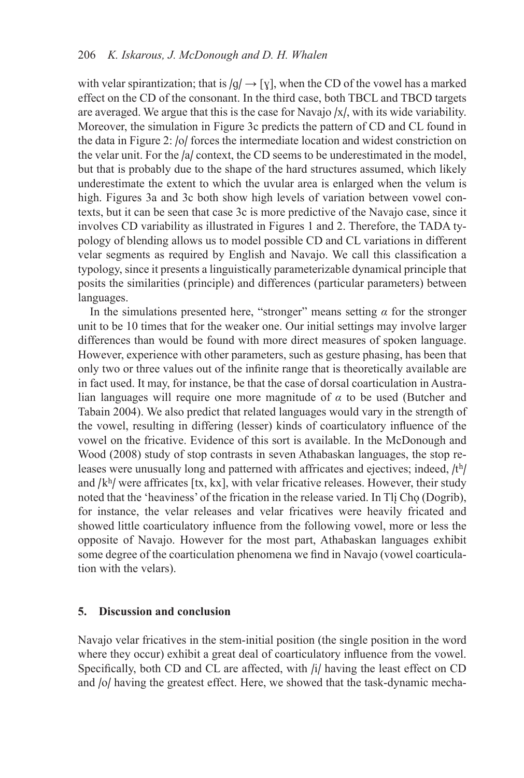with velar spirantization; that is  $|q| \rightarrow |q|$ , when the CD of the vowel has a marked effect on the CD of the consonant. In the third case, both TBCL and TBCD targets are averaged. We argue that this is the case for Navajo /x/, with its wide variability. Moreover, the simulation in Figure 3c predicts the pattern of CD and CL found in the data in Figure 2: /o/ forces the intermediate location and widest constriction on the velar unit. For the /a/ context, the CD seems to be underestimated in the model, but that is probably due to the shape of the hard structures assumed, which likely underestimate the extent to which the uvular area is enlarged when the velum is high. Figures 3a and 3c both show high levels of variation between vowel contexts, but it can be seen that case 3c is more predictive of the Navajo case, since it involves CD variability as illustrated in Figures 1 and 2. Therefore, the TADA typology of blending allows us to model possible CD and CL variations in different velar segments as required by English and Navajo. We call this classification a typology, since it presents a linguistically parameterizable dynamical principle that posits the similarities (principle) and differences (particular parameters) between languages.

In the simulations presented here, "stronger" means setting  $\alpha$  for the stronger unit to be 10 times that for the weaker one. Our initial settings may involve larger differences than would be found with more direct measures of spoken language. However, experience with other parameters, such as gesture phasing, has been that only two or three values out of the infinite range that is theoretically available are in fact used. It may, for instance, be that the case of dorsal coarticulation in Australian languages will require one more magnitude of *α* to be used (Butcher and Tabain 2004). We also predict that related languages would vary in the strength of the vowel, resulting in differing (lesser) kinds of coarticulatory influence of the vowel on the fricative. Evidence of this sort is available. In the McDonough and Wood (2008) study of stop contrasts in seven Athabaskan languages, the stop releases were unusually long and patterned with affricates and ejectives; indeed,  $/t<sup>h</sup>/t$ and  $/k<sup>h</sup>/$  were affricates  $[tx, kx]$ , with velar fricative releases. However, their study noted that the 'heaviness' of the frication in the release varied. In Tli Cho (Dogrib), for instance, the velar releases and velar fricatives were heavily fricated and showed little coarticulatory influence from the following vowel, more or less the opposite of Navajo. However for the most part, Athabaskan languages exhibit some degree of the coarticulation phenomena we find in Navajo (vowel coarticulation with the velars).

#### **5. Discussion and conclusion**

Navajo velar fricatives in the stem-initial position (the single position in the word where they occur) exhibit a great deal of coarticulatory influence from the vowel. Specifically, both CD and CL are affected, with /i/ having the least effect on CD and /o/ having the greatest effect. Here, we showed that the task-dynamic mecha-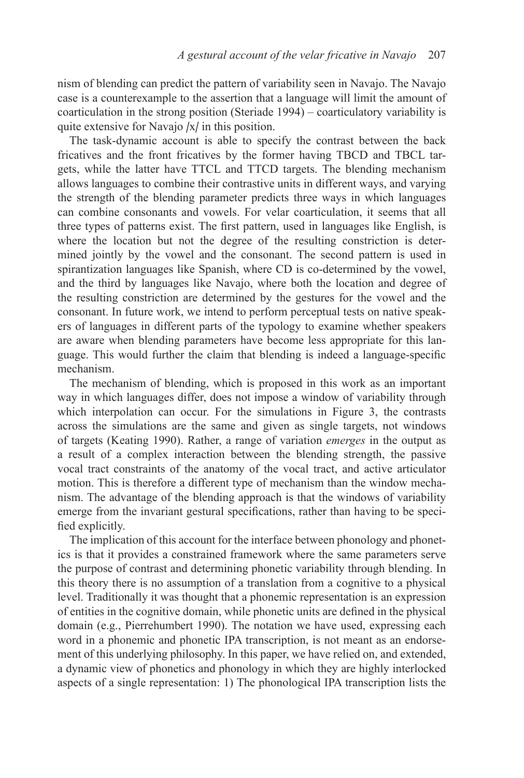nism of blending can predict the pattern of variability seen in Navajo. The Navajo case is a counterexample to the assertion that a language will limit the amount of coarticulation in the strong position (Steriade 1994) – coarticulatory variability is quite extensive for Navajo /x/ in this position.

The task-dynamic account is able to specify the contrast between the back fricatives and the front fricatives by the former having TBCD and TBCL targets, while the latter have TTCL and TTCD targets. The blending mechanism allows languages to combine their contrastive units in different ways, and varying the strength of the blending parameter predicts three ways in which languages can combine consonants and vowels. For velar coarticulation, it seems that all three types of patterns exist. The first pattern, used in languages like English, is where the location but not the degree of the resulting constriction is determined jointly by the vowel and the consonant. The second pattern is used in spirantization languages like Spanish, where CD is co-determined by the vowel, and the third by languages like Navajo, where both the location and degree of the resulting constriction are determined by the gestures for the vowel and the consonant. In future work, we intend to perform perceptual tests on native speakers of languages in different parts of the typology to examine whether speakers are aware when blending parameters have become less appropriate for this language. This would further the claim that blending is indeed a language-specific mechanism.

The mechanism of blending, which is proposed in this work as an important way in which languages differ, does not impose a window of variability through which interpolation can occur. For the simulations in Figure 3, the contrasts across the simulations are the same and given as single targets, not windows of targets (Keating 1990). Rather, a range of variation *emerges* in the output as a result of a complex interaction between the blending strength, the passive vocal tract constraints of the anatomy of the vocal tract, and active articulator motion. This is therefore a different type of mechanism than the window mechanism. The advantage of the blending approach is that the windows of variability emerge from the invariant gestural specifications, rather than having to be specified explicitly.

The implication of this account for the interface between phonology and phonetics is that it provides a constrained framework where the same parameters serve the purpose of contrast and determining phonetic variability through blending. In this theory there is no assumption of a translation from a cognitive to a physical level. Traditionally it was thought that a phonemic representation is an expression of entities in the cognitive domain, while phonetic units are defined in the physical domain (e.g., Pierrehumbert 1990). The notation we have used, expressing each word in a phonemic and phonetic IPA transcription, is not meant as an endorsement of this underlying philosophy. In this paper, we have relied on, and extended, a dynamic view of phonetics and phonology in which they are highly interlocked aspects of a single representation: 1) The phonological IPA transcription lists the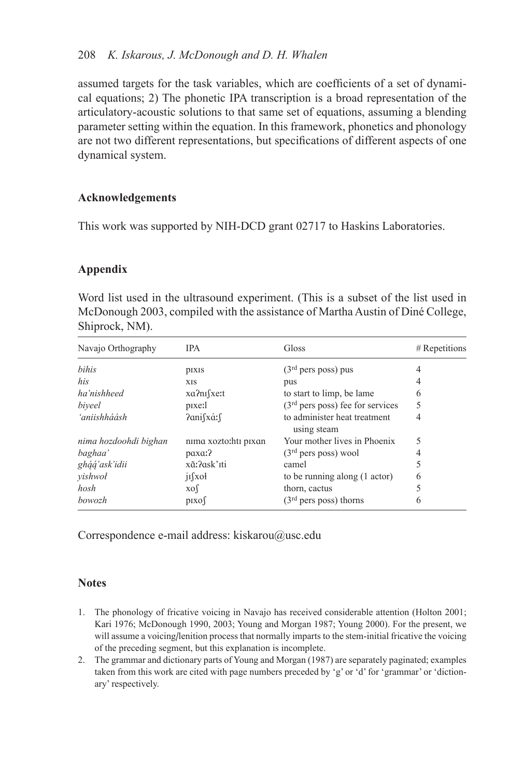assumed targets for the task variables, which are coefficients of a set of dynamical equations; 2) The phonetic IPA transcription is a broad representation of the articulatory-acoustic solutions to that same set of equations, assuming a blending parameter setting within the equation. In this framework, phonetics and phonology are not two different representations, but specifications of different aspects of one dynamical system.

# **Acknowledgements**

This work was supported by NIH-DCD grant 02717 to Haskins Laboratories.

# **Appendix**

Word list used in the ultrasound experiment. (This is a subset of the list used in McDonough 2003, compiled with the assistance of Martha Austin of Diné College, Shiprock, NM).

| Navajo Orthography    | <b>IPA</b>           | Gloss                                       | $#$ Repetitions |
|-----------------------|----------------------|---------------------------------------------|-----------------|
| bihis                 | <b>pixis</b>         | (3 <sup>rd</sup> pers poss) pus             | 4               |
| his                   | <b>XIS</b>           | pus                                         | 4               |
| ha'nishheed           | xa?nı fxe:t          | to start to limp, be lame                   | 6               |
| biveel                | pixe:1               | $(3rd$ pers poss) fee for services          | 5               |
| 'aniishháásh          | Panifxá:f            | to administer heat treatment<br>using steam | 4               |
| nima hozdoohdi bighan | nima xozto:hti pixan | Your mother lives in Phoenix                | 5               |
| baghaa'               | paxa:?               | $(3rd pers poss)$ wool                      | 4               |
| gháá'ask'idii         | xã:?ask'īti          | camel                                       |                 |
| yishwol               | $i$ [xoł             | to be running along (1 actor)               | 6               |
| hosh                  | $x \circ$            | thorn, cactus                               |                 |
| bowozh                | pixof                | $(3rd$ pers poss) thorns                    | 6               |

Correspondence e-mail address: kiskarou@usc.edu

# **Notes**

- 1. The phonology of fricative voicing in Navajo has received considerable attention (Holton 2001; Kari 1976; McDonough 1990, 2003; Young and Morgan 1987; Young 2000). For the present, we will assume a voicing/lenition process that normally imparts to the stem-initial fricative the voicing of the preceding segment, but this explanation is incomplete.
- 2. The grammar and dictionary parts of Young and Morgan (1987) are separately paginated; examples taken from this work are cited with page numbers preceded by 'g' or 'd' for 'grammar' or 'dictionary' respectively.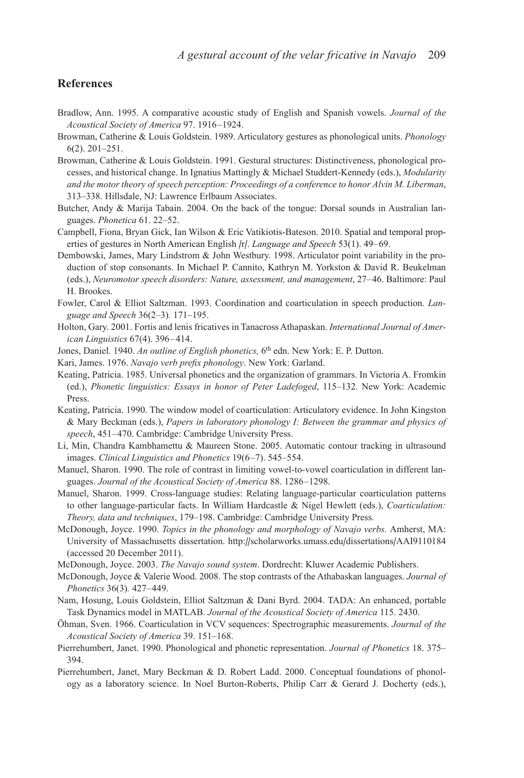### **References**

- Bradlow, Ann. 1995. A comparative acoustic study of English and Spanish vowels. *Journal of the Acoustical Society of America* 97. 1916 –1924.
- Browman, Catherine & Louis Goldstein. 1989. Articulatory gestures as phonological units. *Phonology* 6(2). 201–251.
- Browman, Catherine & Louis Goldstein. 1991. Gestural structures: Distinctiveness, phonological processes, and historical change. In Ignatius Mattingly & Michael Studdert-Kennedy (eds.), *Modularity and the motor theory of speech perception: Proceedings of a conference to honor Alvin M. Liberman*, 313–338. Hillsdale, NJ: Lawrence Erlbaum Associates.
- Butcher, Andy & Marija Tabain. 2004. On the back of the tongue: Dorsal sounds in Australian languages. *Phonetica* 61. 22–52.
- Campbell, Fiona, Bryan Gick, Ian Wilson & Eric Vatikiotis-Bateson. 2010. Spatial and temporal properties of gestures in North American English /r/. *Language and Speech* 53(1). 49– 69.
- Dembowski, James, Mary Lindstrom & John Westbury. 1998. Articulator point variability in the production of stop consonants. In Michael P. Cannito, Kathryn M. Yorkston & David R. Beukelman (eds.), *Neuromotor speech disorders: Nature, assessment, and management*, 27– 46. Baltimore: Paul H. Brookes.
- Fowler, Carol & Elliot Saltzman. 1993. Coordination and coarticulation in speech production. *Language and Speech* 36(2–3)*.* 171–195.
- Holton, Gary. 2001. Fortis and lenis fricatives in Tanacross Athapaskan. *International Journal of American Linguistics* 67(4). 396-414.
- Jones, Daniel. 1940. An outline of English phonetics, 6<sup>th</sup> edn. New York: E. P. Dutton.
- Kari, James. 1976. *Navajo verb prefix phonology*. New York: Garland.
- Keating, Patricia. 1985. Universal phonetics and the organization of grammars. In Victoria A. Fromkin (ed.), *Phonetic linguistics: Essays in honor of Peter Ladefoged*, 115–132*.* New York: Academic Press.
- Keating, Patricia. 1990. The window model of coarticulation: Articulatory evidence. In John Kingston & Mary Beckman (eds.), *Papers in laboratory phonology I: Between the grammar and physics of*  speech, 451–470. Cambridge: Cambridge University Press.
- Li, Min, Chandra Kambhamettu & Maureen Stone. 2005. Automatic contour tracking in ultrasound images. *Clinical Linguistics and Phonetics* 19(6 –7). 545–554.
- Manuel, Sharon. 1990. The role of contrast in limiting vowel-to-vowel coarticulation in different languages. *Journal of the Acoustical Society of America* 88. 1286 –1298.
- Manuel, Sharon. 1999. Cross-language studies: Relating language-particular coarticulation patterns to other language-particular facts. In William Hardcastle & Nigel Hewlett (eds.), *Coarticulation: Theory, data and techniques*, 179–198. Cambridge: Cambridge University Press.
- McDonough, Joyce. 1990. *Topics in the phonology and morphology of Navajo verbs.* Amherst, MA: University of Massachusetts dissertation. http://scholarworks.umass.edu/dissertations/AAI9110184 (accessed 20 December 2011).
- McDonough, Joyce. 2003. *The Navajo sound system*. Dordrecht: Kluwer Academic Publishers.
- McDonough, Joyce & Valerie Wood. 2008. The stop contrasts of the Athabaskan languages. *Journal of Phonetics* 36(3)*.* 427– 449.
- Nam, Hosung, Louis Goldstein, Elliot Saltzman & Dani Byrd. 2004. TADA: An enhanced, portable Task Dynamics model in MATLAB. *Journal of the Acoustical Society of America* 115. 2430.
- Öhman, Sven. 1966. Coarticulation in VCV sequences: Spectrographic measurements. *Journal of the Acoustical Society of America* 39. 151–168.
- Pierrehumbert, Janet. 1990. Phonological and phonetic representation. *Journal of Phonetics* 18. 375– 394.
- Pierrehumbert, Janet, Mary Beckman & D. Robert Ladd. 2000. Conceptual foundations of phonology as a laboratory science. In Noel Burton-Roberts, Philip Carr & Gerard J. Docherty (eds.),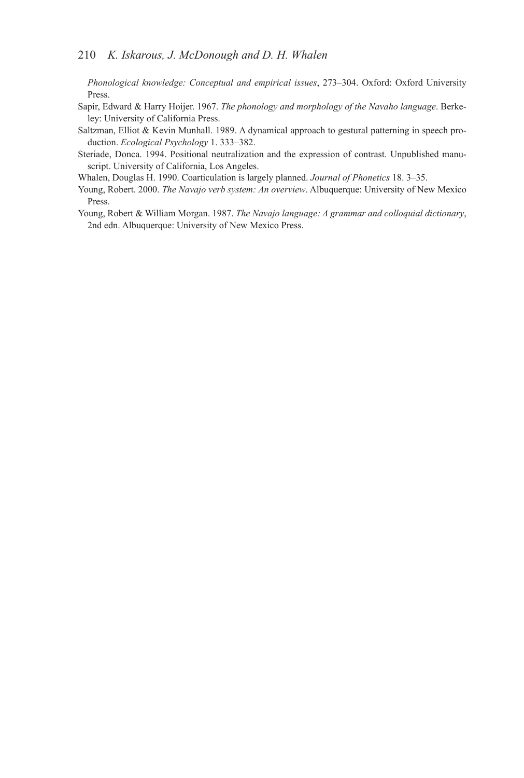*Phonological knowledge: Conceptual and empirical issues*, 273–304. Oxford: Oxford University Press.

- Sapir, Edward & Harry Hoijer. 1967. *The phonology and morphology of the Navaho language*. Berkeley: University of California Press.
- Saltzman, Elliot & Kevin Munhall. 1989. A dynamical approach to gestural patterning in speech production. *Ecological Psychology* 1. 333–382.
- Steriade, Donca. 1994. Positional neutralization and the expression of contrast. Unpublished manuscript. University of California, Los Angeles.
- Whalen, Douglas H. 1990. Coarticulation is largely planned. *Journal of Phonetics* 18. 3–35.
- Young, Robert. 2000. *The Navajo verb system: An overview*. Albuquerque: University of New Mexico Press.
- Young, Robert & William Morgan. 1987. *The Navajo language: A grammar and colloquial dictionary*, 2nd edn. Albuquerque: University of New Mexico Press.